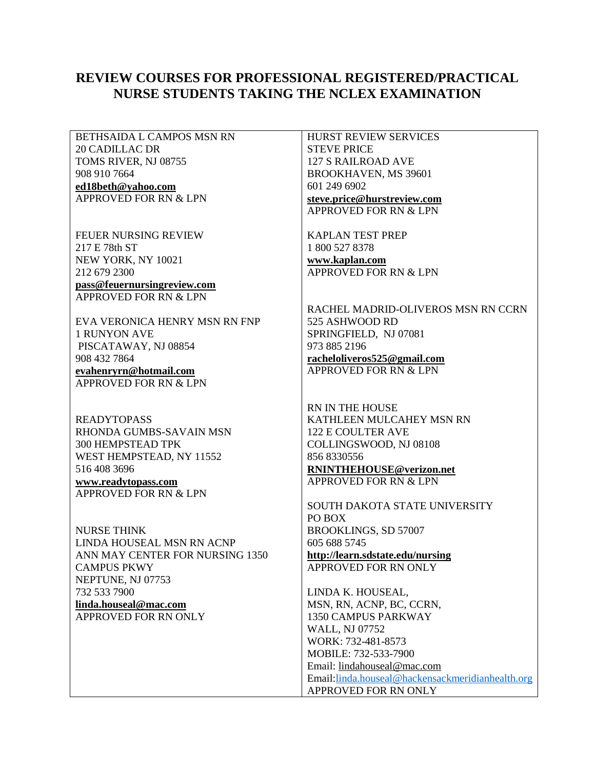## **REVIEW COURSES FOR PROFESSIONAL REGISTERED/PRACTICAL NURSE STUDENTS TAKING THE NCLEX EXAMINATION**

BETHSAIDA L CAMPOS MSN RN 20 CADILLAC DR TOMS RIVER, NJ 08755 908 910 7664 **ed18beth@yahoo.com** APPROVED FOR RN & LPN

FEUER NURSING REVIEW 217 E 78th ST NEW YORK, NY 10021 212 679 2300

**pass@feuernursingreview.com** APPROVED FOR RN & LPN

EVA VERONICA HENRY MSN RN FNP 1 RUNYON AVE PISCATAWAY, NJ 08854 908 432 7864

**evahenryrn@hotmail.com** APPROVED FOR RN & LPN

READYTOPASS RHONDA GUMBS-SAVAIN MSN 300 HEMPSTEAD TPK WEST HEMPSTEAD, NY 11552 516 408 3696 **www.readytopass.com** APPROVED FOR RN & LPN

NURSE THINK LINDA HOUSEAL MSN RN ACNP ANN MAY CENTER FOR NURSING 1350 CAMPUS PKWY NEPTUNE, NJ 07753 732 533 7900 **linda.houseal@mac.com** APPROVED FOR RN ONLY

HURST REVIEW SERVICES STEVE PRICE 127 S RAILROAD AVE BROOKHAVEN, MS 39601 601 249 6902 **steve.price@hurstreview.com** APPROVED FOR RN & LPN

KAPLAN TEST PREP 1 800 527 8378 **www.kaplan.com** APPROVED FOR RN & LPN

RACHEL MADRID-OLIVEROS MSN RN CCRN 525 ASHWOOD RD SPRINGFIELD, NJ 07081 973 885 2196 **racheloliveros525@gmail.com** APPROVED FOR RN & LPN

RN IN THE HOUSE KATHLEEN MULCAHEY MSN RN 122 E COULTER AVE COLLINGSWOOD, NJ 08108 856 8330556 **RNINTHEHOUSE@verizon.net** APPROVED FOR RN & LPN

SOUTH DAKOTA STATE UNIVERSITY PO BOX BROOKLINGS, SD 57007 605 688 5745 **http://learn.sdstate.edu/nursing** APPROVED FOR RN ONLY

LINDA K. HOUSEAL, MSN, RN, ACNP, BC, CCRN, 1350 CAMPUS PARKWAY WALL, NJ 07752 WORK: 732-481-8573 MOBILE: 732-533-7900 Email: lindahouseal@mac.com Email[:linda.houseal@hackensackmeridianhealth.org](mailto:linda.houseal@hackensackmeridianhealth.org) APPROVED FOR RN ONLY